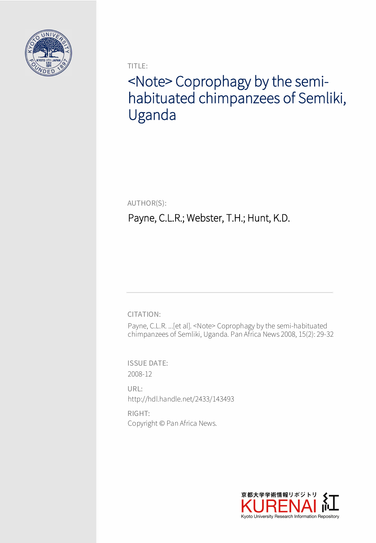

TITLE:

# <Note> Coprophagy by the semihabituated chimpanzees of Semliki, Uganda

AUTHOR(S):

# Payne, C.L.R.; Webster, T.H.; Hunt, K.D.

CITATION:

Payne, C.L.R. ...[et al]. <Note> Coprophagy by the semi-habituated chimpanzees of Semliki, Uganda. Pan Africa News 2008, 15(2): 29-32

ISSUE DATE: 2008-12

URL: http://hdl.handle.net/2433/143493

RIGHT: Copyright © Pan Africa News.

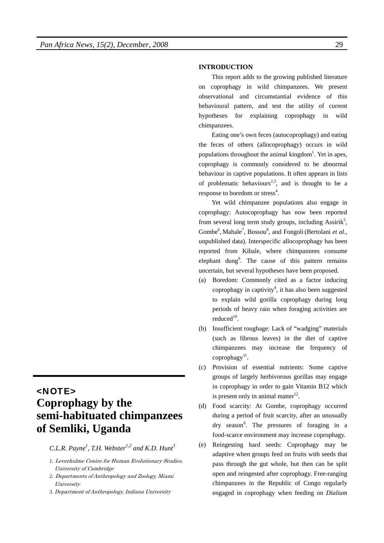# <NOTE> **Coprophagy by the semi-habituated chimpanzees of Semliki, Uganda**

*C.L.R. Payne<sup>1</sup> , T.H. Webster1,2 and K.D. Hunt3*

- *1.* Leverhulme Centre for Human Evolutionary Studies, University of Cambridge
- *2.* Departments of Anthropology and Zoology, Miami University
- *3.* Department of Anthropology, Indiana University

### **INTRODUCTION**

This report adds to the growing published literature on coprophagy in wild chimpanzees. We present observational and circumstantial evidence of this behavioural pattern, and test the utility of current hypotheses for explaining coprophagy in wild chimpanzees.

Eating one's own feces (autocoprophagy) and eating the feces of others (allocoprophagy) occurs in wild populations throughout the animal kingdom<sup>1</sup>. Yet in apes, coprophagy is commonly considered to be abnormal behaviour in captive populations. It often appears in lists of problematic behaviours<sup>2,3</sup>, and is thought to be a response to boredom or stress<sup>4</sup>.

Yet wild chimpanzee populations also engage in coprophagy: Autocoprophagy has now been reported from several long term study groups, including Assirik<sup>5</sup>, Gombe<sup>6</sup>, Mahale<sup>7</sup>, Bossou<sup>8</sup>, and Fongoli (Bertolani et al., unpublished data). Interspecific allocoprophagy has been reported from Kibale, where chimpanzees consume elephant dung<sup>9</sup>. The cause of this pattern remains uncertain, but several hypotheses have been proposed.

- (a) Boredom: Commonly cited as a factor inducing coprophagy in captivity<sup>4</sup>, it has also been suggested to explain wild gorilla coprophagy during long periods of heavy rain when foraging activities are reduced $10$ .
- (b) Insufficient roughage: Lack of "wadging" materials (such as fibrous leaves) in the diet of captive chimpanzees may increase the frequency of coprophagy $^{11}$ .
- (c) Provision of essential nutrients: Some captive groups of largely herbivorous gorillas may engage in coprophagy in order to gain Vitamin B12 which is present only in animal matter<sup>12</sup>.
- (d) Food scarcity: At Gombe, coprophagy occurred during a period of fruit scarcity, after an unusually dry season<sup>6</sup>. The pressures of foraging in a food-scarce environment may increase coprophagy.
- (e) Reingesting hard seeds: Coprophagy may be adaptive when groups feed on fruits with seeds that pass through the gut whole, but then can be split open and reingested after coprophagy. Free-ranging chimpanzees in the Republic of Congo regularly engaged in coprophagy when feeding on *Dialium*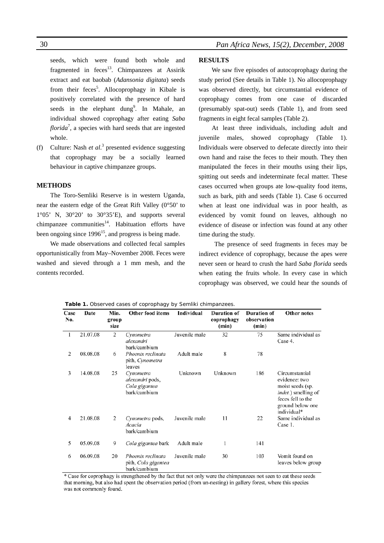16 *Pan Africa News, 15(2), December, 2008*

seeds, which were found both whole and fragmented in  $feces^{13}$ . Chimpanzees at Assirik extract and eat baobab (*Adansonia digitata*) seeds from their feces<sup>5</sup>. Allocoprophagy in Kibale is positively correlated with the presence of hard seeds in the elephant dung<sup>9</sup>. In Mahale, an individual showed coprophagy after eating *Saba florida*<sup>7</sup> , a species with hard seeds that are ingested whole.

(f) Culture: Nash *et al.*<sup>3</sup> presented evidence suggesting that coprophagy may be a socially learned behaviour in captive chimpanzee groups.

#### **METHODS**

The Toro-Semliki Reserve is in western Uganda, near the eastern edge of the Great Rift Valley (0°50' to  $1°05'$  N,  $30°20'$  to  $30°35'E$ ), and supports several chimpanzee communities $14$ . Habituation efforts have been ongoing since  $1996^{15}$ , and progress is being made.

We made observations and collected fecal samples opportunistically from May–November 2008. Feces were washed and sieved through a 1 mm mesh, and the contents recorded.

## **RESULTS**

We saw five episodes of autocoprophagy during the study period (See details in Table 1). No allocoprophagy was observed directly, but circumstantial evidence of coprophagy comes from one case of discarded (presumably spat-out) seeds (Table 1), and from seed fragments in eight fecal samples (Table 2).

At least three individuals, including adult and juvenile males, showed coprophagy (Table 1). Individuals were observed to defecate directly into their own hand and raise the feces to their mouth. They then manipulated the feces in their mouths using their lips, spitting out seeds and indeterminate fecal matter. These cases occurred when groups ate low-quality food items, such as bark, pith and seeds (Table 1). Case 6 occurred when at least one individual was in poor health, as evidenced by vomit found on leaves, although no evidence of disease or infection was found at any other time during the study.

The presence of seed fragments in feces may be indirect evidence of coprophagy, because the apes were never seen or heard to crush the hard *Saba florida* seeds when eating the fruits whole. In every case in which coprophagy was observed, we could hear the sounds of

| Case<br>No. | Date     | Min.<br>group<br>size | <b>Other food items</b>                                       | Individual    | <b>Duration of</b><br>coprophagy<br>(min) | <b>Duration of</b><br>observation<br>(min) | <b>Other notes</b>                                                                                                                         |
|-------------|----------|-----------------------|---------------------------------------------------------------|---------------|-------------------------------------------|--------------------------------------------|--------------------------------------------------------------------------------------------------------------------------------------------|
| 1           | 21.07.08 | 2                     | Cynometra<br>alexandri<br>bark/cambium                        | Juvenile male | 32                                        | 75                                         | Same individual as<br>Case 4.                                                                                                              |
| 2           | 08.08.08 | 6                     | Phoenix reclinata<br>pith, Cynometra<br>leaves                | Adult male    | 8                                         | 78                                         |                                                                                                                                            |
| 3           | 14.08.08 | 25                    | Cynometra<br>alexandri pods,<br>Cola gigantea<br>bark/cambium | Unknown       | Unknown                                   | 186                                        | Circumstantial<br>evidence: two<br>moist seeds (sp.<br><i>indet.</i> ) smelling of<br>feces fell to the<br>ground below one<br>individual* |
| 4           | 21.08.08 | 2                     | Cynometra pods,<br>Acacia<br>bark/cambium                     | Juvenile male | 11                                        | 22                                         | Same individual as<br>Case 1.                                                                                                              |
| 5           | 05.09.08 | 9                     | Cola gigantea bark                                            | Adult male    | 1                                         | 141                                        |                                                                                                                                            |
| 6           | 06.09.08 | 20                    | Phoenix reclinata<br>pith, Cola gigantea<br>bark/cambium      | Juvenile male | 30                                        | 103                                        | Vomit found on<br>leaves below group                                                                                                       |

**Table 1.** Observed cases of coprophagy by Semliki chimpanzees.

\* Case for coprophagy is strengthened by the fact that not only were the chimpanzees not seen to eat these seeds that morning, but also had spent the observation period (from un-nesting) in gallery forest, where this species was not commonly found.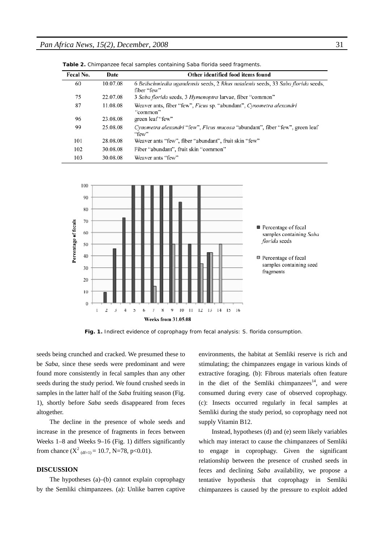| Fecal No. | Date     | Other identified food items found                                                               |
|-----------|----------|-------------------------------------------------------------------------------------------------|
| 60        | 10.07.08 | 6 Beilschmiedia ugandensis seeds, 2 Rhus natalenis seeds, 33 Saba florida seeds,<br>fiber "few" |
| 75        | 22.07.08 | 3 Saba florida seeds, 3 Hymenoptra larvae, fiber "common"                                       |
| 87        | 11.08.08 | Weaver ants, fiber "few", Ficus sp. "abundant", Cynometra alexandri<br>"common"                 |
| 96        | 23.08.08 | green leaf "few"                                                                                |
| 99        | 25.08.08 | Cynometra alexandri "few", Ficus mucosa "abundant", fiber "few", green leaf<br>"few"            |
| 101       | 28.08.08 | Weaver ants "few", fiber "abundant", fruit skin "few"                                           |
| 102       | 30.08.08 | Fiber "abundant", fruit skin "common"                                                           |
| 103       | 30.08.08 | Weaver ants "few"                                                                               |

**Table 2.** Chimpanzee fecal samples containing *Saba florida* seed fragments.



**Fig. 1.** Indirect evidence of coprophagy from fecal analysis: *S. florida* consumption.

seeds being crunched and cracked. We presumed these to be *Saba,* since these seeds were predominant and were found more consistently in fecal samples than any other seeds during the study period. We found crushed seeds in samples in the latter half of the *Saba* fruiting season (Fig. 1), shortly before *Saba* seeds disappeared from feces altogether.

The decline in the presence of whole seeds and increase in the presence of fragments in feces between Weeks 1–8 and Weeks 9–16 (Fig. 1) differs significantly from chance  $(X^2_{(df=1)} = 10.7, N=78, p<0.01)$ .

### **DISCUSSION**

The hypotheses (a)–(b) cannot explain coprophagy by the Semliki chimpanzees. (a): Unlike barren captive environments, the habitat at Semliki reserve is rich and stimulating; the chimpanzees engage in various kinds of extractive foraging. (b): Fibrous materials often feature in the diet of the Semliki chimpanzees<sup>14</sup>, and were consumed during every case of observed coprophagy. (c): Insects occurred regularly in fecal samples at Semliki during the study period, so coprophagy need not supply Vitamin B12.

Instead, hypotheses (d) and (e) seem likely variables which may interact to cause the chimpanzees of Semliki to engage in coprophagy. Given the significant relationship between the presence of crushed seeds in feces and declining *Saba* availability, we propose a tentative hypothesis that coprophagy in Semliki chimpanzees is caused by the pressure to exploit added